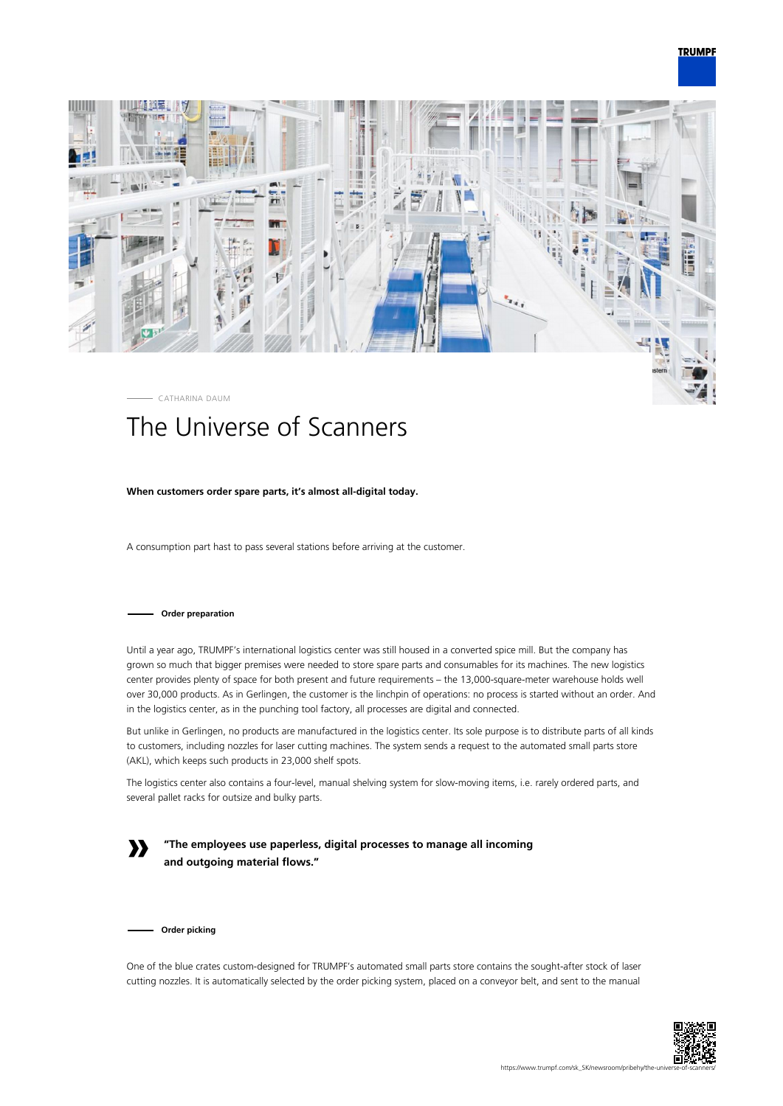



# The Universe of Scanners

## **When customers order spare parts, it's almost all-digital today.**

A consumption part hast to pass several stations before arriving at the customer.

## **Order preparation**

Until a year ago, TRUMPF's international logistics center was still housed in a converted spice mill. But the company has grown so much that bigger premises were needed to store spare parts and consumables for its machines. The new logistics center provides plenty of space for both present and future requirements – the 13,000-square-meter warehouse holds well over 30,000 products. As in Gerlingen, the customer is the linchpin of operations: no process is started without an order. And in the logistics center, as in the punching tool factory, all processes are digital and connected.

But unlike in Gerlingen, no products are manufactured in the logistics center. Its sole purpose is to distribute parts of all kinds to customers, including nozzles for laser cutting machines. The system sends a request to the automated small parts store (AKL), which keeps such products in 23,000 shelf spots.

The logistics center also contains a four-level, manual shelving system for slow-moving items, i.e. rarely ordered parts, and several pallet racks for outsize and bulky parts.

**»**

**"The employees use paperless, digital processes to manage all incoming and outgoing material flows."**

**Order picking**

One of the blue crates custom-designed for TRUMPF's automated small parts store contains the sought-after stock of laser cutting nozzles. It is automatically selected by the order picking system, placed on a conveyor belt, and sent to the manual

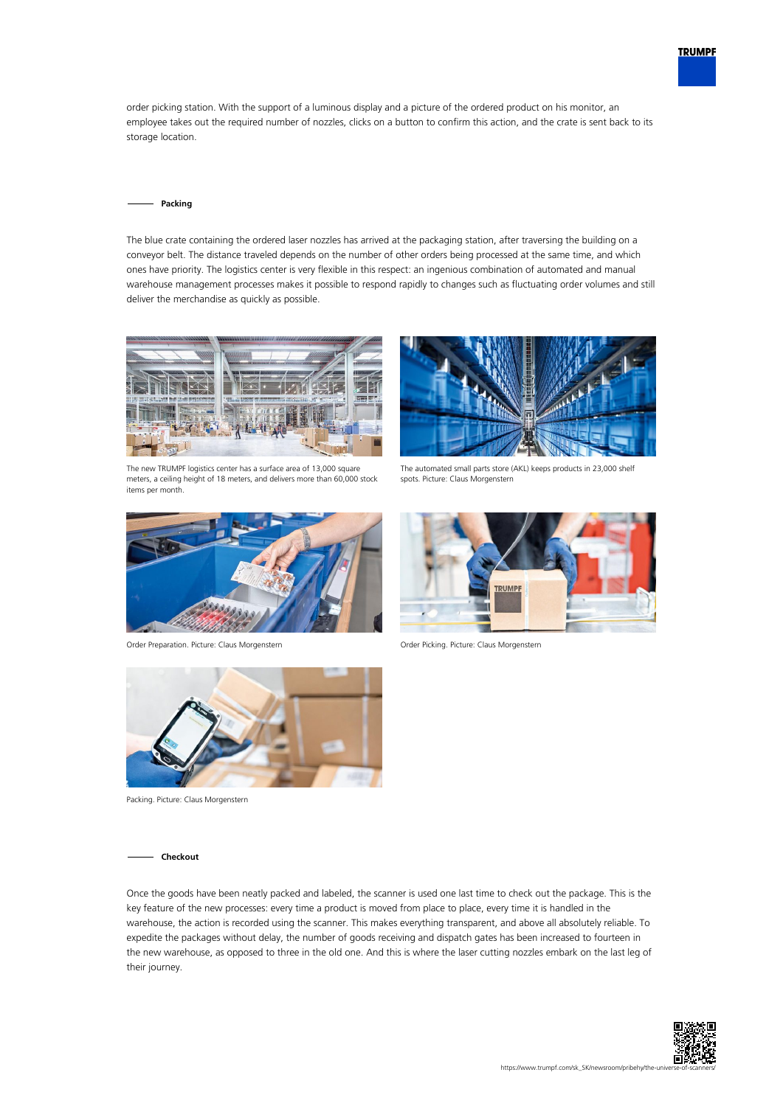

order picking station. With the support of a luminous display and a picture of the ordered product on his monitor, an employee takes out the required number of nozzles, clicks on a button to confirm this action, and the crate is sent back to its storage location.

### **Packing**

The blue crate containing the ordered laser nozzles has arrived at the packaging station, after traversing the building on a conveyor belt. The distance traveled depends on the number of other orders being processed at the same time, and which ones have priority. The logistics center is very flexible in this respect: an ingenious combination of automated and manual warehouse management processes makes it possible to respond rapidly to changes such as fluctuating order volumes and still deliver the merchandise as quickly as possible.



The new TRUMPF logistics center has a surface area of 13,000 square meters, a ceiling height of 18 meters, and delivers more than 60,000 stock items per month.



Order Preparation. Picture: Claus Morgenstern Order Picking. Picture: Claus Morgenstern



The automated small parts store (AKL) keeps products in 23,000 shelf spots. Picture: Claus Morgenstern





Packing. Picture: Claus Morgenstern

#### **Checkout**

Once the goods have been neatly packed and labeled, the scanner is used one last time to check out the package. This is the key feature of the new processes: every time a product is moved from place to place, every time it is handled in the warehouse, the action is recorded using the scanner. This makes everything transparent, and above all absolutely reliable. To expedite the packages without delay, the number of goods receiving and dispatch gates has been increased to fourteen in the new warehouse, as opposed to three in the old one. And this is where the laser cutting nozzles embark on the last leg of their journey.